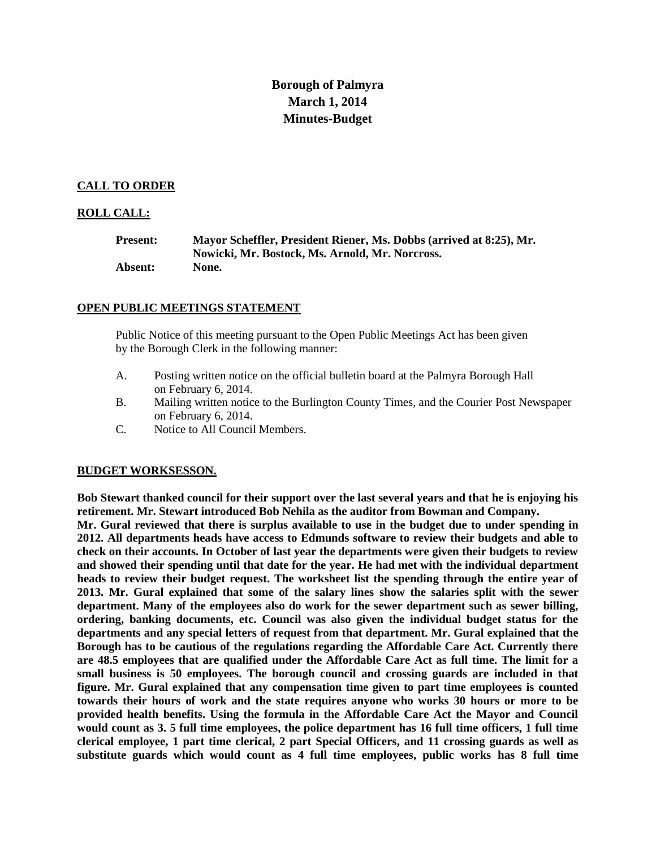# **Borough of Palmyra March 1, 2014 Minutes-Budget**

## **CALL TO ORDER**

## **ROLL CALL:**

| <b>Present:</b> | Mayor Scheffler, President Riener, Ms. Dobbs (arrived at 8:25), Mr. |
|-----------------|---------------------------------------------------------------------|
|                 | Nowicki, Mr. Bostock, Ms. Arnold, Mr. Norcross.                     |
| Absent:         | None.                                                               |

#### **OPEN PUBLIC MEETINGS STATEMENT**

Public Notice of this meeting pursuant to the Open Public Meetings Act has been given by the Borough Clerk in the following manner:

- A. Posting written notice on the official bulletin board at the Palmyra Borough Hall on February 6, 2014.
- B. Mailing written notice to the Burlington County Times, and the Courier Post Newspaper on February 6, 2014.
- C. Notice to All Council Members.

## **BUDGET WORKSESSON.**

**Bob Stewart thanked council for their support over the last several years and that he is enjoying his retirement. Mr. Stewart introduced Bob Nehila as the auditor from Bowman and Company. Mr. Gural reviewed that there is surplus available to use in the budget due to under spending in 2012. All departments heads have access to Edmunds software to review their budgets and able to check on their accounts. In October of last year the departments were given their budgets to review and showed their spending until that date for the year. He had met with the individual department heads to review their budget request. The worksheet list the spending through the entire year of 2013. Mr. Gural explained that some of the salary lines show the salaries split with the sewer department. Many of the employees also do work for the sewer department such as sewer billing, ordering, banking documents, etc. Council was also given the individual budget status for the departments and any special letters of request from that department. Mr. Gural explained that the Borough has to be cautious of the regulations regarding the Affordable Care Act. Currently there are 48.5 employees that are qualified under the Affordable Care Act as full time. The limit for a small business is 50 employees. The borough council and crossing guards are included in that figure. Mr. Gural explained that any compensation time given to part time employees is counted towards their hours of work and the state requires anyone who works 30 hours or more to be provided health benefits. Using the formula in the Affordable Care Act the Mayor and Council would count as 3. 5 full time employees, the police department has 16 full time officers, 1 full time clerical employee, 1 part time clerical, 2 part Special Officers, and 11 crossing guards as well as substitute guards which would count as 4 full time employees, public works has 8 full time**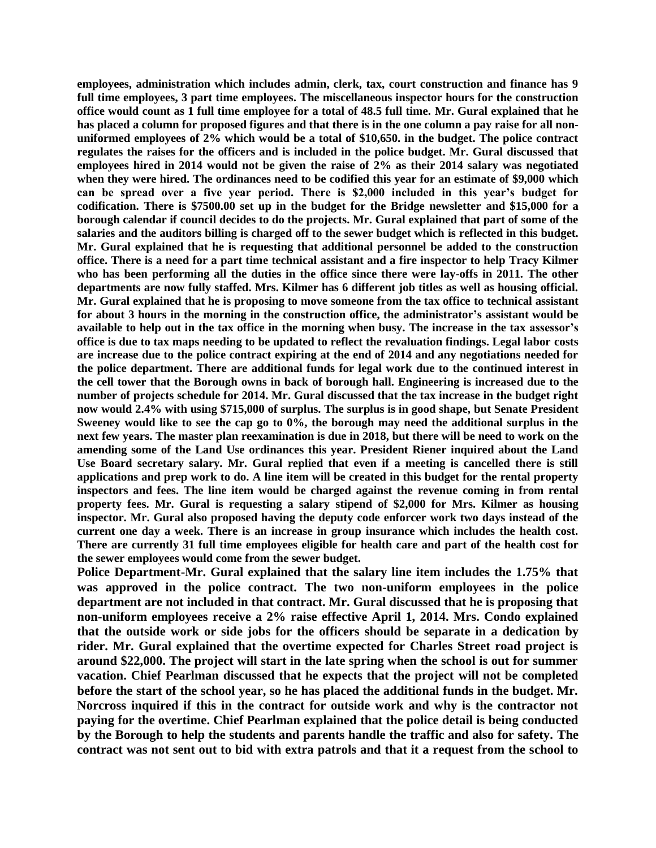**employees, administration which includes admin, clerk, tax, court construction and finance has 9 full time employees, 3 part time employees. The miscellaneous inspector hours for the construction office would count as 1 full time employee for a total of 48.5 full time. Mr. Gural explained that he has placed a column for proposed figures and that there is in the one column a pay raise for all nonuniformed employees of 2% which would be a total of \$10,650. in the budget. The police contract regulates the raises for the officers and is included in the police budget. Mr. Gural discussed that employees hired in 2014 would not be given the raise of 2% as their 2014 salary was negotiated when they were hired. The ordinances need to be codified this year for an estimate of \$9,000 which can be spread over a five year period. There is \$2,000 included in this year's budget for codification. There is \$7500.00 set up in the budget for the Bridge newsletter and \$15,000 for a borough calendar if council decides to do the projects. Mr. Gural explained that part of some of the salaries and the auditors billing is charged off to the sewer budget which is reflected in this budget. Mr. Gural explained that he is requesting that additional personnel be added to the construction office. There is a need for a part time technical assistant and a fire inspector to help Tracy Kilmer who has been performing all the duties in the office since there were lay-offs in 2011. The other departments are now fully staffed. Mrs. Kilmer has 6 different job titles as well as housing official. Mr. Gural explained that he is proposing to move someone from the tax office to technical assistant for about 3 hours in the morning in the construction office, the administrator's assistant would be available to help out in the tax office in the morning when busy. The increase in the tax assessor's office is due to tax maps needing to be updated to reflect the revaluation findings. Legal labor costs are increase due to the police contract expiring at the end of 2014 and any negotiations needed for the police department. There are additional funds for legal work due to the continued interest in the cell tower that the Borough owns in back of borough hall. Engineering is increased due to the number of projects schedule for 2014. Mr. Gural discussed that the tax increase in the budget right now would 2.4% with using \$715,000 of surplus. The surplus is in good shape, but Senate President Sweeney would like to see the cap go to 0%, the borough may need the additional surplus in the next few years. The master plan reexamination is due in 2018, but there will be need to work on the amending some of the Land Use ordinances this year. President Riener inquired about the Land Use Board secretary salary. Mr. Gural replied that even if a meeting is cancelled there is still applications and prep work to do. A line item will be created in this budget for the rental property inspectors and fees. The line item would be charged against the revenue coming in from rental property fees. Mr. Gural is requesting a salary stipend of \$2,000 for Mrs. Kilmer as housing inspector. Mr. Gural also proposed having the deputy code enforcer work two days instead of the current one day a week. There is an increase in group insurance which includes the health cost. There are currently 31 full time employees eligible for health care and part of the health cost for the sewer employees would come from the sewer budget.** 

**Police Department-Mr. Gural explained that the salary line item includes the 1.75% that was approved in the police contract. The two non-uniform employees in the police department are not included in that contract. Mr. Gural discussed that he is proposing that non-uniform employees receive a 2% raise effective April 1, 2014. Mrs. Condo explained that the outside work or side jobs for the officers should be separate in a dedication by rider. Mr. Gural explained that the overtime expected for Charles Street road project is around \$22,000. The project will start in the late spring when the school is out for summer vacation. Chief Pearlman discussed that he expects that the project will not be completed before the start of the school year, so he has placed the additional funds in the budget. Mr. Norcross inquired if this in the contract for outside work and why is the contractor not paying for the overtime. Chief Pearlman explained that the police detail is being conducted by the Borough to help the students and parents handle the traffic and also for safety. The contract was not sent out to bid with extra patrols and that it a request from the school to**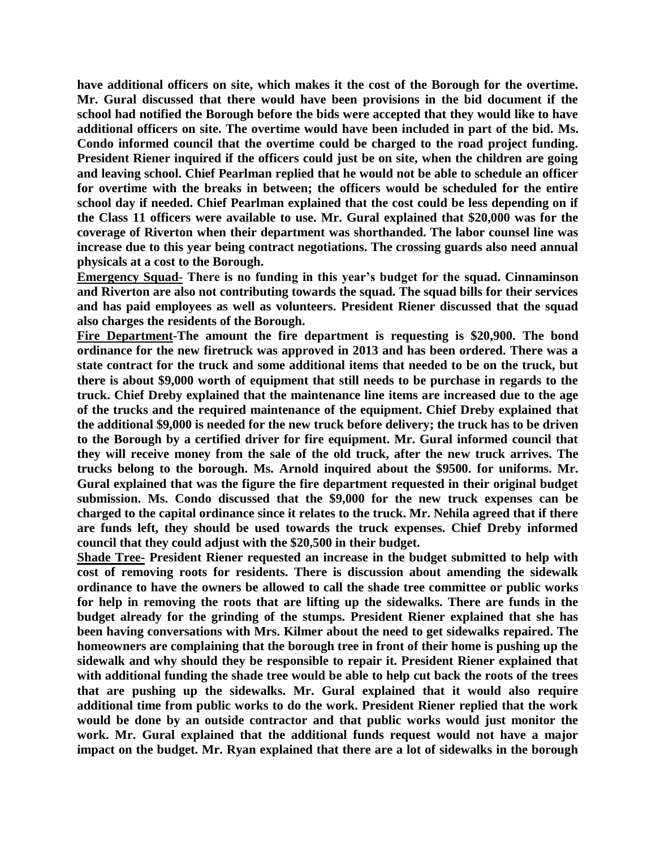**have additional officers on site, which makes it the cost of the Borough for the overtime. Mr. Gural discussed that there would have been provisions in the bid document if the school had notified the Borough before the bids were accepted that they would like to have additional officers on site. The overtime would have been included in part of the bid. Ms. Condo informed council that the overtime could be charged to the road project funding. President Riener inquired if the officers could just be on site, when the children are going and leaving school. Chief Pearlman replied that he would not be able to schedule an officer for overtime with the breaks in between; the officers would be scheduled for the entire school day if needed. Chief Pearlman explained that the cost could be less depending on if the Class 11 officers were available to use. Mr. Gural explained that \$20,000 was for the coverage of Riverton when their department was shorthanded. The labor counsel line was increase due to this year being contract negotiations. The crossing guards also need annual physicals at a cost to the Borough.** 

**Emergency Squad- There is no funding in this year's budget for the squad. Cinnaminson and Riverton are also not contributing towards the squad. The squad bills for their services and has paid employees as well as volunteers. President Riener discussed that the squad also charges the residents of the Borough.** 

**Fire Department-The amount the fire department is requesting is \$20,900. The bond ordinance for the new firetruck was approved in 2013 and has been ordered. There was a state contract for the truck and some additional items that needed to be on the truck, but there is about \$9,000 worth of equipment that still needs to be purchase in regards to the truck. Chief Dreby explained that the maintenance line items are increased due to the age of the trucks and the required maintenance of the equipment. Chief Dreby explained that the additional \$9,000 is needed for the new truck before delivery; the truck has to be driven to the Borough by a certified driver for fire equipment. Mr. Gural informed council that they will receive money from the sale of the old truck, after the new truck arrives. The trucks belong to the borough. Ms. Arnold inquired about the \$9500. for uniforms. Mr. Gural explained that was the figure the fire department requested in their original budget submission. Ms. Condo discussed that the \$9,000 for the new truck expenses can be charged to the capital ordinance since it relates to the truck. Mr. Nehila agreed that if there are funds left, they should be used towards the truck expenses. Chief Dreby informed council that they could adjust with the \$20,500 in their budget.** 

**Shade Tree- President Riener requested an increase in the budget submitted to help with cost of removing roots for residents. There is discussion about amending the sidewalk ordinance to have the owners be allowed to call the shade tree committee or public works for help in removing the roots that are lifting up the sidewalks. There are funds in the budget already for the grinding of the stumps. President Riener explained that she has been having conversations with Mrs. Kilmer about the need to get sidewalks repaired. The homeowners are complaining that the borough tree in front of their home is pushing up the sidewalk and why should they be responsible to repair it. President Riener explained that with additional funding the shade tree would be able to help cut back the roots of the trees that are pushing up the sidewalks. Mr. Gural explained that it would also require additional time from public works to do the work. President Riener replied that the work would be done by an outside contractor and that public works would just monitor the work. Mr. Gural explained that the additional funds request would not have a major impact on the budget. Mr. Ryan explained that there are a lot of sidewalks in the borough**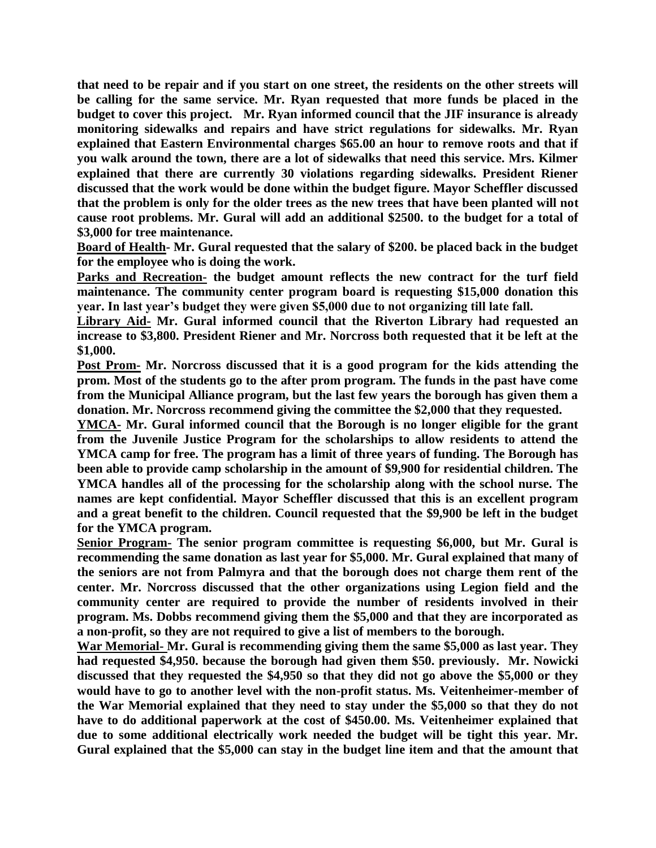**that need to be repair and if you start on one street, the residents on the other streets will be calling for the same service. Mr. Ryan requested that more funds be placed in the budget to cover this project. Mr. Ryan informed council that the JIF insurance is already monitoring sidewalks and repairs and have strict regulations for sidewalks. Mr. Ryan explained that Eastern Environmental charges \$65.00 an hour to remove roots and that if you walk around the town, there are a lot of sidewalks that need this service. Mrs. Kilmer explained that there are currently 30 violations regarding sidewalks. President Riener discussed that the work would be done within the budget figure. Mayor Scheffler discussed that the problem is only for the older trees as the new trees that have been planted will not cause root problems. Mr. Gural will add an additional \$2500. to the budget for a total of \$3,000 for tree maintenance.** 

**Board of Health- Mr. Gural requested that the salary of \$200. be placed back in the budget for the employee who is doing the work.** 

Parks and Recreation- the budget amount reflects the new contract for the turf field **maintenance. The community center program board is requesting \$15,000 donation this year. In last year's budget they were given \$5,000 due to not organizing till late fall.** 

**Library Aid- Mr. Gural informed council that the Riverton Library had requested an increase to \$3,800. President Riener and Mr. Norcross both requested that it be left at the \$1,000.** 

**Post Prom- Mr. Norcross discussed that it is a good program for the kids attending the prom. Most of the students go to the after prom program. The funds in the past have come from the Municipal Alliance program, but the last few years the borough has given them a donation. Mr. Norcross recommend giving the committee the \$2,000 that they requested.** 

**YMCA- Mr. Gural informed council that the Borough is no longer eligible for the grant from the Juvenile Justice Program for the scholarships to allow residents to attend the YMCA camp for free. The program has a limit of three years of funding. The Borough has been able to provide camp scholarship in the amount of \$9,900 for residential children. The YMCA handles all of the processing for the scholarship along with the school nurse. The names are kept confidential. Mayor Scheffler discussed that this is an excellent program and a great benefit to the children. Council requested that the \$9,900 be left in the budget for the YMCA program.** 

**Senior Program- The senior program committee is requesting \$6,000, but Mr. Gural is recommending the same donation as last year for \$5,000. Mr. Gural explained that many of the seniors are not from Palmyra and that the borough does not charge them rent of the center. Mr. Norcross discussed that the other organizations using Legion field and the community center are required to provide the number of residents involved in their program. Ms. Dobbs recommend giving them the \$5,000 and that they are incorporated as a non-profit, so they are not required to give a list of members to the borough.**

**War Memorial- Mr. Gural is recommending giving them the same \$5,000 as last year. They had requested \$4,950. because the borough had given them \$50. previously. Mr. Nowicki discussed that they requested the \$4,950 so that they did not go above the \$5,000 or they would have to go to another level with the non-profit status. Ms. Veitenheimer-member of the War Memorial explained that they need to stay under the \$5,000 so that they do not have to do additional paperwork at the cost of \$450.00. Ms. Veitenheimer explained that due to some additional electrically work needed the budget will be tight this year. Mr. Gural explained that the \$5,000 can stay in the budget line item and that the amount that**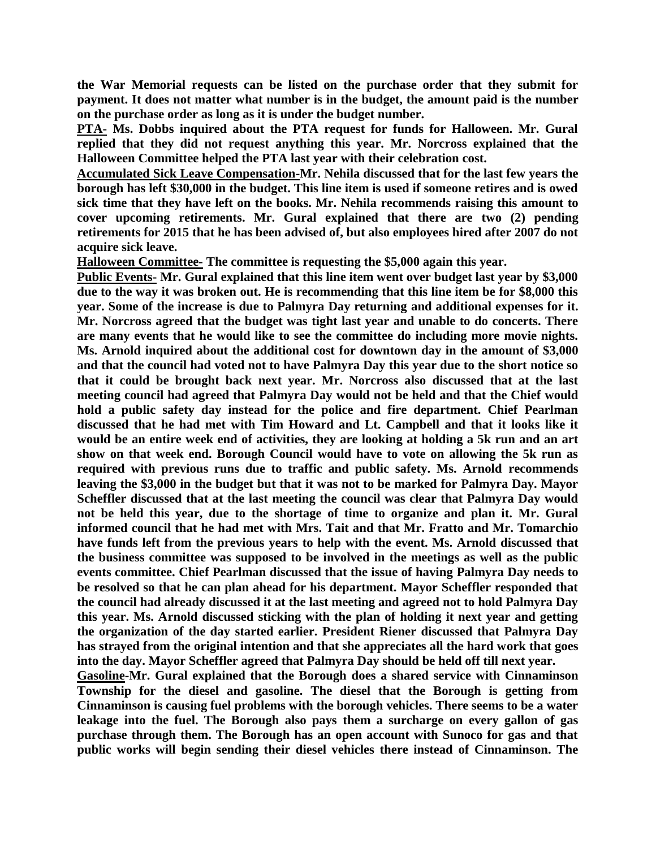**the War Memorial requests can be listed on the purchase order that they submit for payment. It does not matter what number is in the budget, the amount paid is the number on the purchase order as long as it is under the budget number.** 

**PTA- Ms. Dobbs inquired about the PTA request for funds for Halloween. Mr. Gural replied that they did not request anything this year. Mr. Norcross explained that the Halloween Committee helped the PTA last year with their celebration cost.**

**Accumulated Sick Leave Compensation-Mr. Nehila discussed that for the last few years the borough has left \$30,000 in the budget. This line item is used if someone retires and is owed sick time that they have left on the books. Mr. Nehila recommends raising this amount to cover upcoming retirements. Mr. Gural explained that there are two (2) pending retirements for 2015 that he has been advised of, but also employees hired after 2007 do not acquire sick leave.** 

**Halloween Committee- The committee is requesting the \$5,000 again this year.**

**Public Events- Mr. Gural explained that this line item went over budget last year by \$3,000 due to the way it was broken out. He is recommending that this line item be for \$8,000 this year. Some of the increase is due to Palmyra Day returning and additional expenses for it. Mr. Norcross agreed that the budget was tight last year and unable to do concerts. There are many events that he would like to see the committee do including more movie nights. Ms. Arnold inquired about the additional cost for downtown day in the amount of \$3,000 and that the council had voted not to have Palmyra Day this year due to the short notice so that it could be brought back next year. Mr. Norcross also discussed that at the last meeting council had agreed that Palmyra Day would not be held and that the Chief would hold a public safety day instead for the police and fire department. Chief Pearlman discussed that he had met with Tim Howard and Lt. Campbell and that it looks like it would be an entire week end of activities, they are looking at holding a 5k run and an art show on that week end. Borough Council would have to vote on allowing the 5k run as required with previous runs due to traffic and public safety. Ms. Arnold recommends leaving the \$3,000 in the budget but that it was not to be marked for Palmyra Day. Mayor Scheffler discussed that at the last meeting the council was clear that Palmyra Day would not be held this year, due to the shortage of time to organize and plan it. Mr. Gural informed council that he had met with Mrs. Tait and that Mr. Fratto and Mr. Tomarchio have funds left from the previous years to help with the event. Ms. Arnold discussed that the business committee was supposed to be involved in the meetings as well as the public events committee. Chief Pearlman discussed that the issue of having Palmyra Day needs to be resolved so that he can plan ahead for his department. Mayor Scheffler responded that the council had already discussed it at the last meeting and agreed not to hold Palmyra Day this year. Ms. Arnold discussed sticking with the plan of holding it next year and getting the organization of the day started earlier. President Riener discussed that Palmyra Day has strayed from the original intention and that she appreciates all the hard work that goes into the day. Mayor Scheffler agreed that Palmyra Day should be held off till next year.** 

**Gasoline-Mr. Gural explained that the Borough does a shared service with Cinnaminson Township for the diesel and gasoline. The diesel that the Borough is getting from Cinnaminson is causing fuel problems with the borough vehicles. There seems to be a water leakage into the fuel. The Borough also pays them a surcharge on every gallon of gas purchase through them. The Borough has an open account with Sunoco for gas and that public works will begin sending their diesel vehicles there instead of Cinnaminson. The**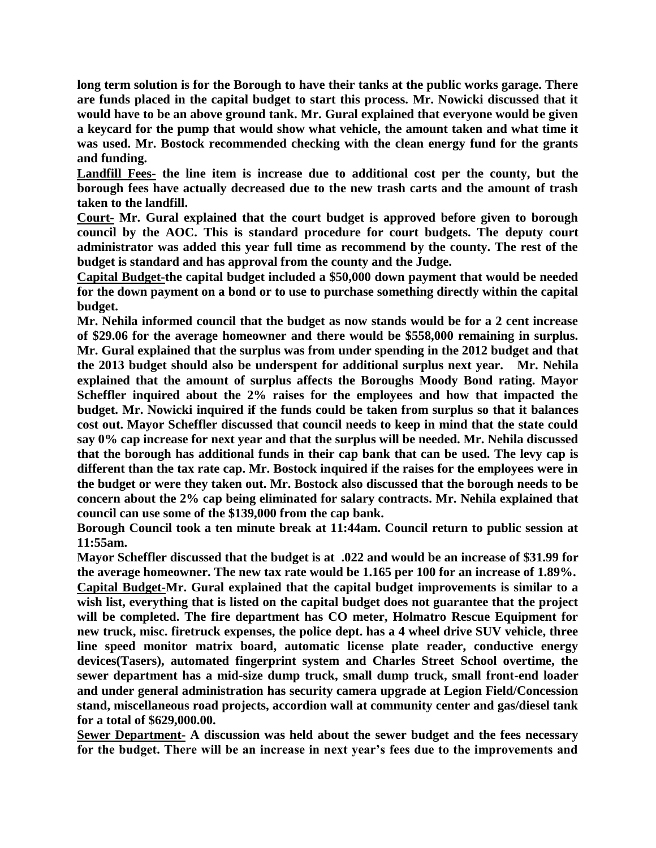**long term solution is for the Borough to have their tanks at the public works garage. There are funds placed in the capital budget to start this process. Mr. Nowicki discussed that it would have to be an above ground tank. Mr. Gural explained that everyone would be given a keycard for the pump that would show what vehicle, the amount taken and what time it was used. Mr. Bostock recommended checking with the clean energy fund for the grants and funding.** 

**Landfill Fees- the line item is increase due to additional cost per the county, but the borough fees have actually decreased due to the new trash carts and the amount of trash taken to the landfill.** 

**Court- Mr. Gural explained that the court budget is approved before given to borough council by the AOC. This is standard procedure for court budgets. The deputy court administrator was added this year full time as recommend by the county. The rest of the budget is standard and has approval from the county and the Judge.**

**Capital Budget-the capital budget included a \$50,000 down payment that would be needed for the down payment on a bond or to use to purchase something directly within the capital budget.** 

**Mr. Nehila informed council that the budget as now stands would be for a 2 cent increase of \$29.06 for the average homeowner and there would be \$558,000 remaining in surplus. Mr. Gural explained that the surplus was from under spending in the 2012 budget and that the 2013 budget should also be underspent for additional surplus next year. Mr. Nehila explained that the amount of surplus affects the Boroughs Moody Bond rating. Mayor Scheffler inquired about the 2% raises for the employees and how that impacted the budget. Mr. Nowicki inquired if the funds could be taken from surplus so that it balances cost out. Mayor Scheffler discussed that council needs to keep in mind that the state could say 0% cap increase for next year and that the surplus will be needed. Mr. Nehila discussed that the borough has additional funds in their cap bank that can be used. The levy cap is different than the tax rate cap. Mr. Bostock inquired if the raises for the employees were in the budget or were they taken out. Mr. Bostock also discussed that the borough needs to be concern about the 2% cap being eliminated for salary contracts. Mr. Nehila explained that council can use some of the \$139,000 from the cap bank.** 

**Borough Council took a ten minute break at 11:44am. Council return to public session at 11:55am.**

**Mayor Scheffler discussed that the budget is at .022 and would be an increase of \$31.99 for the average homeowner. The new tax rate would be 1.165 per 100 for an increase of 1.89%. Capital Budget-Mr. Gural explained that the capital budget improvements is similar to a wish list, everything that is listed on the capital budget does not guarantee that the project will be completed. The fire department has CO meter, Holmatro Rescue Equipment for new truck, misc. firetruck expenses, the police dept. has a 4 wheel drive SUV vehicle, three line speed monitor matrix board, automatic license plate reader, conductive energy devices(Tasers), automated fingerprint system and Charles Street School overtime, the sewer department has a mid-size dump truck, small dump truck, small front-end loader and under general administration has security camera upgrade at Legion Field/Concession stand, miscellaneous road projects, accordion wall at community center and gas/diesel tank for a total of \$629,000.00.**

**Sewer Department- A discussion was held about the sewer budget and the fees necessary for the budget. There will be an increase in next year's fees due to the improvements and**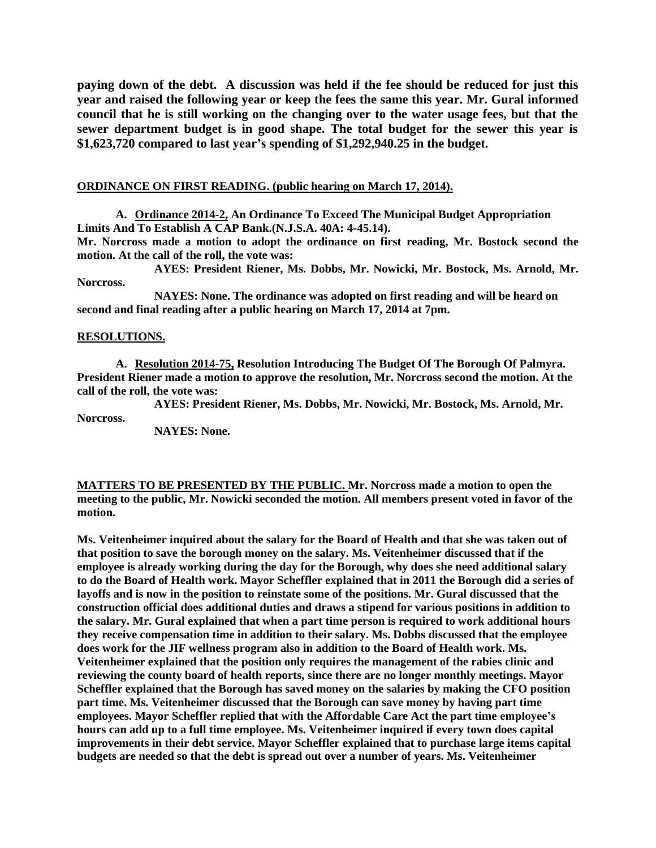**paying down of the debt. A discussion was held if the fee should be reduced for just this year and raised the following year or keep the fees the same this year. Mr. Gural informed council that he is still working on the changing over to the water usage fees, but that the sewer department budget is in good shape. The total budget for the sewer this year is \$1,623,720 compared to last year's spending of \$1,292,940.25 in the budget.**

### **ORDINANCE ON FIRST READING. (public hearing on March 17, 2014).**

**A. Ordinance 2014-2, An Ordinance To Exceed The Municipal Budget Appropriation Limits And To Establish A CAP Bank.(N.J.S.A. 40A: 4-45.14).**

**Mr. Norcross made a motion to adopt the ordinance on first reading, Mr. Bostock second the motion. At the call of the roll, the vote was:**

**AYES: President Riener, Ms. Dobbs, Mr. Nowicki, Mr. Bostock, Ms. Arnold, Mr. Norcross.**

**NAYES: None. The ordinance was adopted on first reading and will be heard on second and final reading after a public hearing on March 17, 2014 at 7pm.**

#### **RESOLUTIONS.**

**A. Resolution 2014-75, Resolution Introducing The Budget Of The Borough Of Palmyra. President Riener made a motion to approve the resolution, Mr. Norcross second the motion. At the call of the roll, the vote was:**

**AYES: President Riener, Ms. Dobbs, Mr. Nowicki, Mr. Bostock, Ms. Arnold, Mr.** 

**Norcross.**

**NAYES: None.**

**MATTERS TO BE PRESENTED BY THE PUBLIC. Mr. Norcross made a motion to open the meeting to the public, Mr. Nowicki seconded the motion. All members present voted in favor of the motion.**

**Ms. Veitenheimer inquired about the salary for the Board of Health and that she was taken out of that position to save the borough money on the salary. Ms. Veitenheimer discussed that if the employee is already working during the day for the Borough, why does she need additional salary to do the Board of Health work. Mayor Scheffler explained that in 2011 the Borough did a series of layoffs and is now in the position to reinstate some of the positions. Mr. Gural discussed that the construction official does additional duties and draws a stipend for various positions in addition to the salary. Mr. Gural explained that when a part time person is required to work additional hours they receive compensation time in addition to their salary. Ms. Dobbs discussed that the employee does work for the JIF wellness program also in addition to the Board of Health work. Ms. Veitenheimer explained that the position only requires the management of the rabies clinic and reviewing the county board of health reports, since there are no longer monthly meetings. Mayor Scheffler explained that the Borough has saved money on the salaries by making the CFO position part time. Ms. Veitenheimer discussed that the Borough can save money by having part time employees. Mayor Scheffler replied that with the Affordable Care Act the part time employee's hours can add up to a full time employee. Ms. Veitenheimer inquired if every town does capital improvements in their debt service. Mayor Scheffler explained that to purchase large items capital budgets are needed so that the debt is spread out over a number of years. Ms. Veitenheimer**